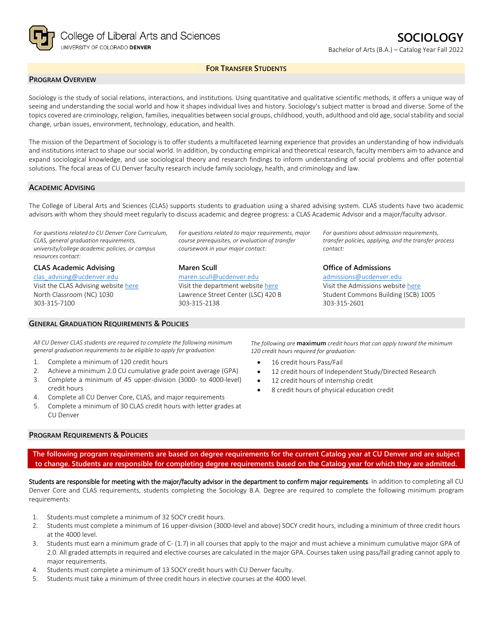

## **FOR TRANSFER STUDENTS**

## **PROGRAM OVERVIEW**

Sociology is the study of social relations, interactions, and institutions. Using quantitative and qualitative scientific methods, it offers a unique way of seeing and understanding the social world and how it shapes individual lives and history. Sociology's subject matter is broad and diverse. Some of the topics covered are criminology, religion, families, inequalities between social groups, childhood, youth, adulthood and old age, social stability and social change, urban issues, environment, technology, education, and health.

The mission of the Department of Sociology is to offer students a multifaceted learning experience that provides an understanding of how individuals and institutions interact to shape our social world. In addition, by conducting empirical and theoretical research, faculty members aim to advance and expand sociological knowledge, and use sociological theory and research findings to inform understanding of social problems and offer potential solutions. The focal areas of CU Denver faculty research include family sociology, health, and criminology and law.

#### **ACADEMIC ADVISING**

The College of Liberal Arts and Sciences (CLAS) supports students to graduation using a shared advising system. CLAS students have two academic advisors with whom they should meet regularly to discuss academic and degree progress: a CLAS Academic Advisor and a major/faculty advisor.

*For questions related to CU Denver Core Curriculum, CLAS, general graduation requirements, university/college academic policies, or campus resources contact:*

**CLAS Academic Advising** [clas\\_advising@ucdenver.edu](mailto:clas_advising@ucdenver.edu) Visit the CLAS Advising websit[e here](https://clas.ucdenver.edu/advising/) North Classroom (NC) 1030 303-315-7100

### **GENERAL GRADUATION REQUIREMENTS & POLICIES**

*For questions related to major requirements, major course prerequisites, or evaluation of transfer coursework in your major contact:*

**Maren Scull** [maren.scull@ucdenver.edu](mailto:maren.scull@ucdenver.edu)  Visit the department website [here](https://clas.ucdenver.edu/sociology/) Lawrence Street Center (LSC) 420 B 303-315-2138

*For questions about admission requirements, transfer policies, applying, and the transfer process contact:*

**Office of Admissions**

[admissions@ucdenver.edu](mailto:admissions@ucdenver.edu) Visit the Admissions website [here](http://www.ucdenver.edu/admissions/Pages/index.aspx) Student Commons Building (SCB) 1005 303-315-2601

*All CU Denver CLAS students are required to complete the following minimum general graduation requirements to be eligible to apply for graduation:*

- 1. Complete a minimum of 120 credit hours
- 2. Achieve a minimum 2.0 CU cumulative grade point average (GPA)
- 3. Complete a minimum of 45 upper-division (3000- to 4000-level) credit hours
- 4. Complete all CU Denver Core, CLAS, and major requirements
- 5. Complete a minimum of 30 CLAS credit hours with letter grades at CU Denver

### **PROGRAM REQUIREMENTS & POLICIES**

*The following are* **maximum** *credit hours that can apply toward the minimum 120 credit hours required for graduation:*

- 16 credit hours Pass/Fail
- 12 credit hours of Independent Study/Directed Research
- 12 credit hours of internship credit
- 8 credit hours of physical education credit

**The following program requirements are based on degree requirements for the current Catalog year at CU Denver and are subject to change. Students are responsible for completing degree requirements based on the Catalog year for which they are admitted.**

Students are responsible for meeting with the major/faculty advisor in the department to confirm major requirements. In addition to completing all CU Denver Core and CLAS requirements, students completing the Sociology B.A. Degree are required to complete the following minimum program requirements:

- 1. Students must complete a minimum of 32 SOCY credit hours.
- 2. Students must complete a minimum of 16 upper-division (3000-level and above) SOCY credit hours, including a minimum of three credit hours at the 4000 level.
- 3. Students must earn a minimum grade of C- (1.7) in all courses that apply to the major and must achieve a minimum cumulative major GPA of 2.0. All graded attempts in required and elective courses are calculated in the major GPA. Courses taken using pass/fail grading cannot apply to major requirements.
- 4. Students must complete a minimum of 13 SOCY credit hours with CU Denver faculty.
- 5. Students must take a minimum of three credit hours in elective courses at the 4000 level.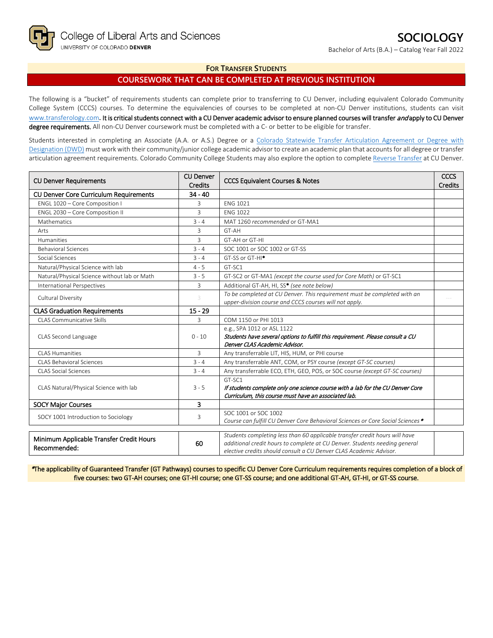Bachelor of Arts (B.A.) – Catalog Year Fall 2022

## **FOR TRANSFER STUDENTS**

# **COURSEWORK THAT CAN BE COMPLETED AT PREVIOUS INSTITUTION**

The following is a "bucket" of requirements students can complete prior to transferring to CU Denver, including equivalent Colorado Community College System (CCCS) courses. To determine the equivalencies of courses to be completed at non-CU Denver institutions, students can visit [www.transferology.com](http://www.transferology.com/)**.** It is critical students connect with a CU Denver academic advisor to ensure planned courses will transfer and apply to CU Denver degree requirements. All non-CU Denver coursework must be completed with a C- or better to be eligible for transfer.

Students interested in completing an Associate (A.A. or A.S.) Degree or a [Colorado Statewide Transfer Articulation Agreement or Degree with](https://highered.colorado.gov/transfer-degrees)  [Designation \(DWD\)](https://highered.colorado.gov/transfer-degrees) must work with their community/junior college academic advisor to create an academic plan that accounts for all degree or transfer articulation agreement requirements. Colorado Community College Students may also explore the option to complet[e Reverse Transfer](https://highered.colorado.gov/students/attending-college/colorado-reverse-transfer) at CU Denver.

| <b>CU Denver</b><br><b>CU Denver Requirements</b><br><b>Credits</b> |              | <b>CCCS Equivalent Courses &amp; Notes</b>                                                                                                                                                                                      | <b>CCCS</b><br><b>Credits</b> |
|---------------------------------------------------------------------|--------------|---------------------------------------------------------------------------------------------------------------------------------------------------------------------------------------------------------------------------------|-------------------------------|
| CU Denver Core Curriculum Requirements                              | $34 - 40$    |                                                                                                                                                                                                                                 |                               |
| ENGL 1020 - Core Composition I                                      | 3            | <b>ENG 1021</b>                                                                                                                                                                                                                 |                               |
| ENGL 2030 - Core Composition II                                     | 3            | <b>ENG 1022</b>                                                                                                                                                                                                                 |                               |
| Mathematics                                                         | $3 - 4$      | MAT 1260 recommended or GT-MA1                                                                                                                                                                                                  |                               |
| Arts                                                                | 3            | GT-AH                                                                                                                                                                                                                           |                               |
| <b>Humanities</b>                                                   | 3            | GT-AH or GT-HI                                                                                                                                                                                                                  |                               |
| <b>Behavioral Sciences</b>                                          | $3 - 4$      | SOC 1001 or SOC 1002 or GT-SS                                                                                                                                                                                                   |                               |
| Social Sciences                                                     | $3 - 4$      | GT-SS or GT-HI <sup>*</sup>                                                                                                                                                                                                     |                               |
| Natural/Physical Science with lab                                   | $4 - 5$      | GT-SC1                                                                                                                                                                                                                          |                               |
| Natural/Physical Science without lab or Math                        | $3 - 5$      | GT-SC2 or GT-MA1 (except the course used for Core Math) or GT-SC1                                                                                                                                                               |                               |
| International Perspectives                                          | 3            | Additional GT-AH, HI, SS* (see note below)                                                                                                                                                                                      |                               |
| Cultural Diversity                                                  | 3            | To be completed at CU Denver. This requirement must be completed with an                                                                                                                                                        |                               |
|                                                                     |              | upper-division course and CCCS courses will not apply.                                                                                                                                                                          |                               |
| <b>CLAS Graduation Requirements</b>                                 | $15 - 29$    |                                                                                                                                                                                                                                 |                               |
| CLAS Communicative Skills                                           | $\mathbf{R}$ | COM 1150 or PHI 1013                                                                                                                                                                                                            |                               |
|                                                                     | $0 - 10$     | e.g., SPA 1012 or ASL 1122                                                                                                                                                                                                      |                               |
| CLAS Second Language                                                |              | Students have several options to fulfill this requirement. Please consult a CU                                                                                                                                                  |                               |
|                                                                     |              | Denver CLAS Academic Advisor.                                                                                                                                                                                                   |                               |
| <b>CLAS Humanities</b>                                              | 3            | Any transferrable LIT, HIS, HUM, or PHI course                                                                                                                                                                                  |                               |
| <b>CLAS Behavioral Sciences</b>                                     | $3 - 4$      | Any transferrable ANT, COM, or PSY course (except GT-SC courses)                                                                                                                                                                |                               |
| <b>CLAS Social Sciences</b>                                         | $3 - 4$      | Any transferrable ECO, ETH, GEO, POS, or SOC course (except GT-SC courses)                                                                                                                                                      |                               |
|                                                                     | $3 - 5$      | GT-SC1                                                                                                                                                                                                                          |                               |
| CLAS Natural/Physical Science with lab                              |              | If students complete only one science course with a lab for the CU Denver Core                                                                                                                                                  |                               |
|                                                                     |              | Curriculum, this course must have an associated lab.                                                                                                                                                                            |                               |
| <b>SOCY Major Courses</b>                                           | 3            |                                                                                                                                                                                                                                 |                               |
| SOCY 1001 Introduction to Sociology                                 | 3            | SOC 1001 or SOC 1002<br>Course can fulfill CU Denver Core Behavioral Sciences or Core Social Sciences *                                                                                                                         |                               |
|                                                                     |              |                                                                                                                                                                                                                                 |                               |
| Minimum Applicable Transfer Credit Hours<br>Recommended:            | 60           | Students completing less than 60 applicable transfer credit hours will have<br>additional credit hours to complete at CU Denver. Students needing general<br>elective credits should consult a CU Denver CLAS Academic Advisor. |                               |
|                                                                     |              |                                                                                                                                                                                                                                 |                               |

\*The applicability of Guaranteed Transfer (GT Pathways) courses to specific CU Denver Core Curriculum requirements requires completion of a block of five courses: two GT-AH courses; one GT-HI course; one GT-SS course; and one additional GT-AH, GT-HI, or GT-SS course.